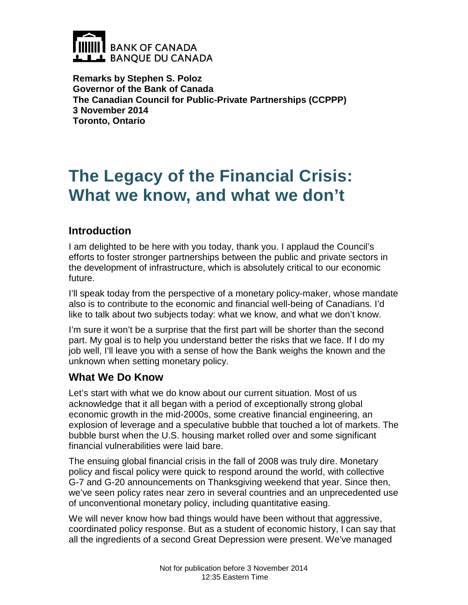

**Remarks by Stephen S. Poloz Governor of the Bank of Canada The Canadian Council for Public-Private Partnerships (CCPPP) 3 November 2014 Toronto, Ontario**

# **The Legacy of the Financial Crisis: What we know, and what we don't**

## **Introduction**

I am delighted to be here with you today, thank you. I applaud the Council's efforts to foster stronger partnerships between the public and private sectors in the development of infrastructure, which is absolutely critical to our economic future.

I'll speak today from the perspective of a monetary policy-maker, whose mandate also is to contribute to the economic and financial well-being of Canadians. I'd like to talk about two subjects today: what we know, and what we don't know.

I'm sure it won't be a surprise that the first part will be shorter than the second part. My goal is to help you understand better the risks that we face. If I do my job well, I'll leave you with a sense of how the Bank weighs the known and the unknown when setting monetary policy.

## **What We Do Know**

Let's start with what we do know about our current situation. Most of us acknowledge that it all began with a period of exceptionally strong global economic growth in the mid-2000s, some creative financial engineering, an explosion of leverage and a speculative bubble that touched a lot of markets. The bubble burst when the U.S. housing market rolled over and some significant financial vulnerabilities were laid bare.

The ensuing global financial crisis in the fall of 2008 was truly dire. Monetary policy and fiscal policy were quick to respond around the world, with collective G-7 and G-20 announcements on Thanksgiving weekend that year. Since then, we've seen policy rates near zero in several countries and an unprecedented use of unconventional monetary policy, including quantitative easing.

We will never know how bad things would have been without that aggressive, coordinated policy response. But as a student of economic history, I can say that all the ingredients of a second Great Depression were present. We've managed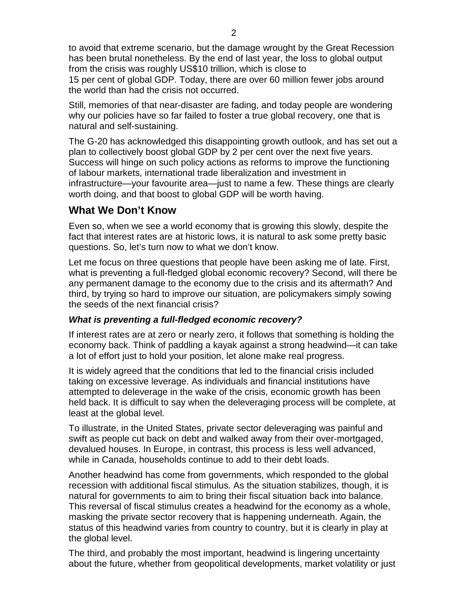to avoid that extreme scenario, but the damage wrought by the Great Recession has been brutal nonetheless. By the end of last year, the loss to global output from the crisis was roughly US\$10 trillion, which is close to 15 per cent of global GDP. Today, there are over 60 million fewer jobs around the world than had the crisis not occurred.

Still, memories of that near-disaster are fading, and today people are wondering why our policies have so far failed to foster a true global recovery, one that is natural and self-sustaining.

The G-20 has acknowledged this disappointing growth outlook, and has set out a plan to collectively boost global GDP by 2 per cent over the next five years. Success will hinge on such policy actions as reforms to improve the functioning of labour markets, international trade liberalization and investment in infrastructure—your favourite area—just to name a few. These things are clearly worth doing, and that boost to global GDP will be worth having.

## **What We Don't Know**

Even so, when we see a world economy that is growing this slowly, despite the fact that interest rates are at historic lows, it is natural to ask some pretty basic questions. So, let's turn now to what we don't know.

Let me focus on three questions that people have been asking me of late. First, what is preventing a full-fledged global economic recovery? Second, will there be any permanent damage to the economy due to the crisis and its aftermath? And third, by trying so hard to improve our situation, are policymakers simply sowing the seeds of the next financial crisis?

#### *What is preventing a full-fledged economic recovery?*

If interest rates are at zero or nearly zero, it follows that something is holding the economy back. Think of paddling a kayak against a strong headwind—it can take a lot of effort just to hold your position, let alone make real progress.

It is widely agreed that the conditions that led to the financial crisis included taking on excessive leverage. As individuals and financial institutions have attempted to deleverage in the wake of the crisis, economic growth has been held back. It is difficult to say when the deleveraging process will be complete, at least at the global level.

To illustrate, in the United States, private sector deleveraging was painful and swift as people cut back on debt and walked away from their over-mortgaged, devalued houses. In Europe, in contrast, this process is less well advanced, while in Canada, households continue to add to their debt loads.

Another headwind has come from governments, which responded to the global recession with additional fiscal stimulus. As the situation stabilizes, though, it is natural for governments to aim to bring their fiscal situation back into balance. This reversal of fiscal stimulus creates a headwind for the economy as a whole, masking the private sector recovery that is happening underneath. Again, the status of this headwind varies from country to country, but it is clearly in play at the global level.

The third, and probably the most important, headwind is lingering uncertainty about the future, whether from geopolitical developments, market volatility or just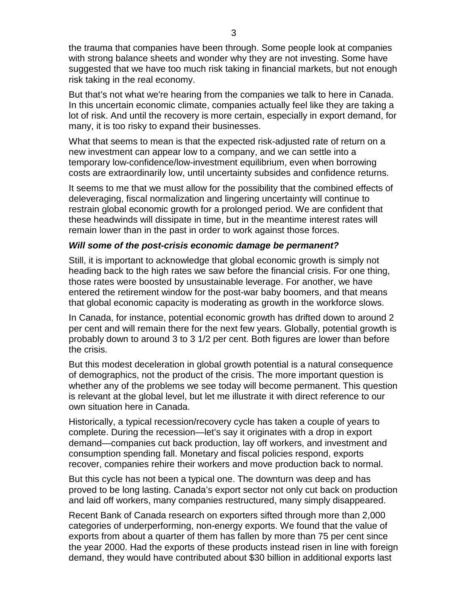the trauma that companies have been through. Some people look at companies with strong balance sheets and wonder why they are not investing. Some have suggested that we have too much risk taking in financial markets, but not enough risk taking in the real economy.

But that's not what we're hearing from the companies we talk to here in Canada. In this uncertain economic climate, companies actually feel like they are taking a lot of risk. And until the recovery is more certain, especially in export demand, for many, it is too risky to expand their businesses.

What that seems to mean is that the expected risk-adjusted rate of return on a new investment can appear low to a company, and we can settle into a temporary low-confidence/low-investment equilibrium, even when borrowing costs are extraordinarily low, until uncertainty subsides and confidence returns.

It seems to me that we must allow for the possibility that the combined effects of deleveraging, fiscal normalization and lingering uncertainty will continue to restrain global economic growth for a prolonged period. We are confident that these headwinds will dissipate in time, but in the meantime interest rates will remain lower than in the past in order to work against those forces.

#### *Will some of the post-crisis economic damage be permanent?*

Still, it is important to acknowledge that global economic growth is simply not heading back to the high rates we saw before the financial crisis. For one thing, those rates were boosted by unsustainable leverage. For another, we have entered the retirement window for the post-war baby boomers, and that means that global economic capacity is moderating as growth in the workforce slows.

In Canada, for instance, potential economic growth has drifted down to around 2 per cent and will remain there for the next few years. Globally, potential growth is probably down to around 3 to 3 1/2 per cent. Both figures are lower than before the crisis.

But this modest deceleration in global growth potential is a natural consequence of demographics, not the product of the crisis. The more important question is whether any of the problems we see today will become permanent. This question is relevant at the global level, but let me illustrate it with direct reference to our own situation here in Canada.

Historically, a typical recession/recovery cycle has taken a couple of years to complete. During the recession—let's say it originates with a drop in export demand—companies cut back production, lay off workers, and investment and consumption spending fall. Monetary and fiscal policies respond, exports recover, companies rehire their workers and move production back to normal.

But this cycle has not been a typical one. The downturn was deep and has proved to be long lasting. Canada's export sector not only cut back on production and laid off workers, many companies restructured, many simply disappeared.

Recent Bank of Canada research on exporters sifted through more than 2,000 categories of underperforming, non-energy exports. We found that the value of exports from about a quarter of them has fallen by more than 75 per cent since the year 2000. Had the exports of these products instead risen in line with foreign demand, they would have contributed about \$30 billion in additional exports last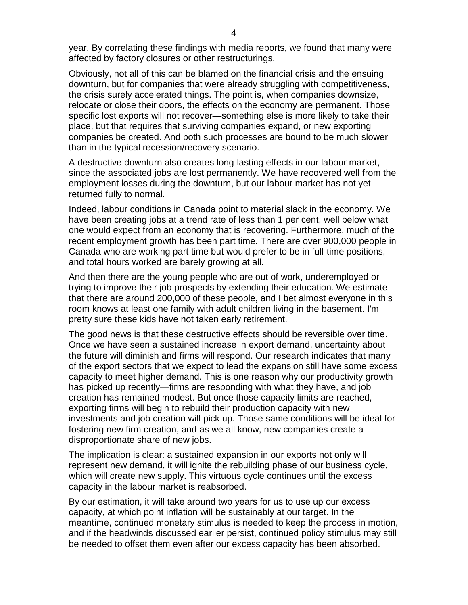year. By correlating these findings with media reports, we found that many were affected by factory closures or other restructurings.

Obviously, not all of this can be blamed on the financial crisis and the ensuing downturn, but for companies that were already struggling with competitiveness, the crisis surely accelerated things. The point is, when companies downsize, relocate or close their doors, the effects on the economy are permanent. Those specific lost exports will not recover—something else is more likely to take their place, but that requires that surviving companies expand, or new exporting companies be created. And both such processes are bound to be much slower than in the typical recession/recovery scenario.

A destructive downturn also creates long-lasting effects in our labour market, since the associated jobs are lost permanently. We have recovered well from the employment losses during the downturn, but our labour market has not yet returned fully to normal.

Indeed, labour conditions in Canada point to material slack in the economy. We have been creating jobs at a trend rate of less than 1 per cent, well below what one would expect from an economy that is recovering. Furthermore, much of the recent employment growth has been part time. There are over 900,000 people in Canada who are working part time but would prefer to be in full-time positions, and total hours worked are barely growing at all.

And then there are the young people who are out of work, underemployed or trying to improve their job prospects by extending their education. We estimate that there are around 200,000 of these people, and I bet almost everyone in this room knows at least one family with adult children living in the basement. I'm pretty sure these kids have not taken early retirement.

The good news is that these destructive effects should be reversible over time. Once we have seen a sustained increase in export demand, uncertainty about the future will diminish and firms will respond. Our research indicates that many of the export sectors that we expect to lead the expansion still have some excess capacity to meet higher demand. This is one reason why our productivity growth has picked up recently—firms are responding with what they have, and job creation has remained modest. But once those capacity limits are reached, exporting firms will begin to rebuild their production capacity with new investments and job creation will pick up. Those same conditions will be ideal for fostering new firm creation, and as we all know, new companies create a disproportionate share of new jobs.

The implication is clear: a sustained expansion in our exports not only will represent new demand, it will ignite the rebuilding phase of our business cycle, which will create new supply. This virtuous cycle continues until the excess capacity in the labour market is reabsorbed.

By our estimation, it will take around two years for us to use up our excess capacity, at which point inflation will be sustainably at our target. In the meantime, continued monetary stimulus is needed to keep the process in motion, and if the headwinds discussed earlier persist, continued policy stimulus may still be needed to offset them even after our excess capacity has been absorbed.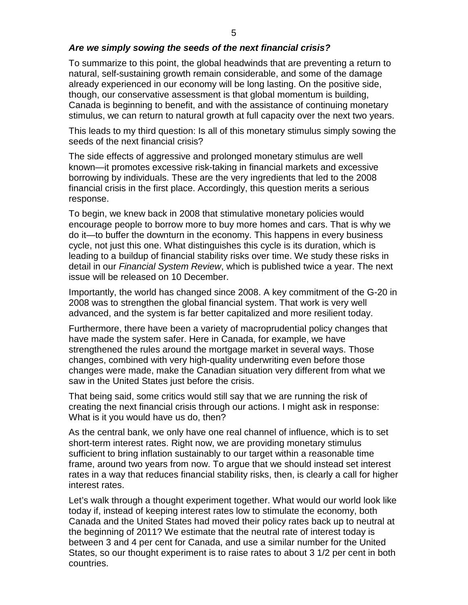#### *Are we simply sowing the seeds of the next financial crisis?*

To summarize to this point, the global headwinds that are preventing a return to natural, self-sustaining growth remain considerable, and some of the damage already experienced in our economy will be long lasting. On the positive side, though, our conservative assessment is that global momentum is building, Canada is beginning to benefit, and with the assistance of continuing monetary stimulus, we can return to natural growth at full capacity over the next two years.

This leads to my third question: Is all of this monetary stimulus simply sowing the seeds of the next financial crisis?

The side effects of aggressive and prolonged monetary stimulus are well known—it promotes excessive risk-taking in financial markets and excessive borrowing by individuals. These are the very ingredients that led to the 2008 financial crisis in the first place. Accordingly, this question merits a serious response.

To begin, we knew back in 2008 that stimulative monetary policies would encourage people to borrow more to buy more homes and cars. That is why we do it—to buffer the downturn in the economy. This happens in every business cycle, not just this one. What distinguishes this cycle is its duration, which is leading to a buildup of financial stability risks over time. We study these risks in detail in our *Financial System Review*, which is published twice a year. The next issue will be released on 10 December.

Importantly, the world has changed since 2008. A key commitment of the G-20 in 2008 was to strengthen the global financial system. That work is very well advanced, and the system is far better capitalized and more resilient today.

Furthermore, there have been a variety of macroprudential policy changes that have made the system safer. Here in Canada, for example, we have strengthened the rules around the mortgage market in several ways. Those changes, combined with very high-quality underwriting even before those changes were made, make the Canadian situation very different from what we saw in the United States just before the crisis.

That being said, some critics would still say that we are running the risk of creating the next financial crisis through our actions. I might ask in response: What is it you would have us do, then?

As the central bank, we only have one real channel of influence, which is to set short-term interest rates. Right now, we are providing monetary stimulus sufficient to bring inflation sustainably to our target within a reasonable time frame, around two years from now. To argue that we should instead set interest rates in a way that reduces financial stability risks, then, is clearly a call for higher interest rates.

Let's walk through a thought experiment together. What would our world look like today if, instead of keeping interest rates low to stimulate the economy, both Canada and the United States had moved their policy rates back up to neutral at the beginning of 2011? We estimate that the neutral rate of interest today is between 3 and 4 per cent for Canada, and use a similar number for the United States, so our thought experiment is to raise rates to about 3 1/2 per cent in both countries.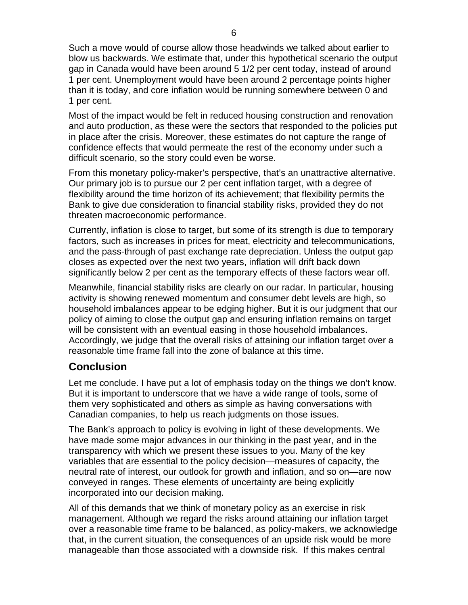Such a move would of course allow those headwinds we talked about earlier to blow us backwards. We estimate that, under this hypothetical scenario the output gap in Canada would have been around 5 1/2 per cent today, instead of around 1 per cent. Unemployment would have been around 2 percentage points higher than it is today, and core inflation would be running somewhere between 0 and 1 per cent.

Most of the impact would be felt in reduced housing construction and renovation and auto production, as these were the sectors that responded to the policies put in place after the crisis. Moreover, these estimates do not capture the range of confidence effects that would permeate the rest of the economy under such a difficult scenario, so the story could even be worse.

From this monetary policy-maker's perspective, that's an unattractive alternative. Our primary job is to pursue our 2 per cent inflation target, with a degree of flexibility around the time horizon of its achievement; that flexibility permits the Bank to give due consideration to financial stability risks, provided they do not threaten macroeconomic performance.

Currently, inflation is close to target, but some of its strength is due to temporary factors, such as increases in prices for meat, electricity and telecommunications, and the pass-through of past exchange rate depreciation. Unless the output gap closes as expected over the next two years, inflation will drift back down significantly below 2 per cent as the temporary effects of these factors wear off.

Meanwhile, financial stability risks are clearly on our radar. In particular, housing activity is showing renewed momentum and consumer debt levels are high, so household imbalances appear to be edging higher. But it is our judgment that our policy of aiming to close the output gap and ensuring inflation remains on target will be consistent with an eventual easing in those household imbalances. Accordingly, we judge that the overall risks of attaining our inflation target over a reasonable time frame fall into the zone of balance at this time.

### **Conclusion**

Let me conclude. I have put a lot of emphasis today on the things we don't know. But it is important to underscore that we have a wide range of tools, some of them very sophisticated and others as simple as having conversations with Canadian companies, to help us reach judgments on those issues.

The Bank's approach to policy is evolving in light of these developments. We have made some major advances in our thinking in the past year, and in the transparency with which we present these issues to you. Many of the key variables that are essential to the policy decision—measures of capacity, the neutral rate of interest, our outlook for growth and inflation, and so on—are now conveyed in ranges. These elements of uncertainty are being explicitly incorporated into our decision making.

All of this demands that we think of monetary policy as an exercise in risk management. Although we regard the risks around attaining our inflation target over a reasonable time frame to be balanced, as policy-makers, we acknowledge that, in the current situation, the consequences of an upside risk would be more manageable than those associated with a downside risk. If this makes central